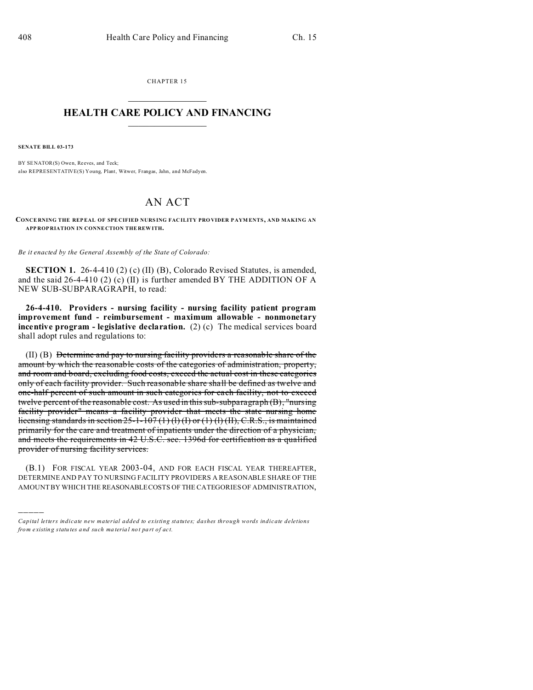CHAPTER 15  $\overline{\phantom{a}}$  , where  $\overline{\phantom{a}}$ 

## **HEALTH CARE POLICY AND FINANCING**  $\_$   $\_$   $\_$   $\_$   $\_$   $\_$   $\_$   $\_$

**SENATE BILL 03-173**

)))))

BY SENATOR(S) Owen, Reeves, and Teck; also REPRESENTATIVE(S) Young, Plant, Witwer, Frangas, Jahn, and McFadyen.

## AN ACT

**CONCE RNING THE REPEAL OF SPE CIFIED NURS ING FAC ILITY PROVIDER P AYM ENTS, AND MAKING AN APP ROP RIATION IN CONNE CTION THE REW ITH.**

*Be it enacted by the General Assembly of the State of Colorado:*

**SECTION 1.** 26-4-410 (2) (c) (II) (B), Colorado Revised Statutes, is amended, and the said 26-4-410 (2) (c) (II) is further amended BY THE ADDITION OF A NEW SUB-SUBPARAGRAPH, to read:

**26-4-410. Providers - nursing facility - nursing facility patient program improvement fund - reimbursement - maximum allowable - nonmonetary incentive program - legislative declaration.** (2) (c) The medical services board shall adopt rules and regulations to:

(II) (B) Determine and pay to nursing facility providers a reasonable share of the amount by which the reasonable costs of the categories of administration, property, and room and board, excluding food costs, exceed the actual cost in these categories only of each facility provider. Such reasonable share shall be defined as twelve and one-half percent of such amount in such categories for each facility, not to exceed twelve percent of the reasonable cost. As used in this sub-subparagraph (B), "nursing facility provider" means a facility provider that meets the state nursing home licensing standards in section  $25$ -1-107 (1) (1) (I) or (1) (1) (II), C.R.S., is maintained primarily for the care and treatment of inpatients under the direction of a physician, and meets the requirements in 42 U.S.C. sec. 1396d for certification as a qualified provider of nursing facility services.

(B.1) FOR FISCAL YEAR 2003-04, AND FOR EACH FISCAL YEAR THEREAFTER, DETERMINE AND PAY TO NURSING FACILITY PROVIDERS A REASONABLE SHARE OF THE AMOUNT BY WHICH THE REASONABLECOSTS OF THE CATEGORIES OF ADMINISTRATION,

*Capital letters indicate new material added to existing statutes; dashes through words indicate deletions from e xistin g statu tes a nd such ma teria l no t pa rt of ac t.*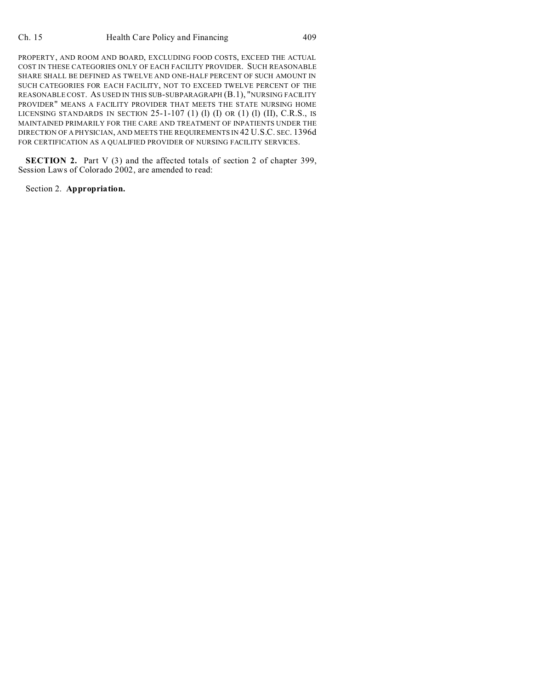PROPERTY, AND ROOM AND BOARD, EXCLUDING FOOD COSTS, EXCEED THE ACTUAL COST IN THESE CATEGORIES ONLY OF EACH FACILITY PROVIDER. SUCH REASONABLE SHARE SHALL BE DEFINED AS TWELVE AND ONE-HALF PERCENT OF SUCH AMOUNT IN SUCH CATEGORIES FOR EACH FACILITY, NOT TO EXCEED TWELVE PERCENT OF THE REASONABLE COST. AS USED IN THIS SUB-SUBPARAGRAPH (B.1), "NURSING FACILITY PROVIDER" MEANS A FACILITY PROVIDER THAT MEETS THE STATE NURSING HOME LICENSING STANDARDS IN SECTION  $25$ -1-107 (1) (1) (I) OR (1) (1) (II), C.R.S., IS MAINTAINED PRIMARILY FOR THE CARE AND TREATMENT OF INPATIENTS UNDER THE DIRECTION OF A PHYSICIAN, AND MEETS THE REQUIREMENTS IN 42 U.S.C. SEC. 1396d FOR CERTIFICATION AS A QUALIFIED PROVIDER OF NURSING FACILITY SERVICES.

**SECTION 2.** Part V (3) and the affected totals of section 2 of chapter 399, Session Laws of Colorado 2002, are amended to read:

Section 2. **Appropriation.**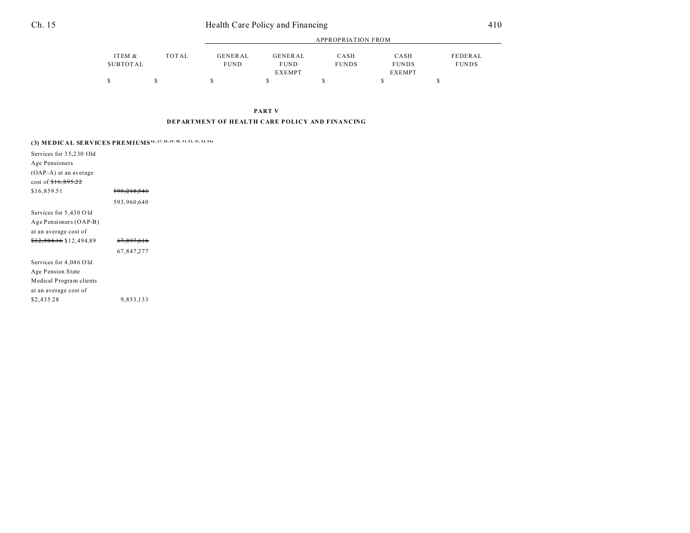| Ch. 15<br>Health Care Policy and Financing | 410 |
|--------------------------------------------|-----|
|--------------------------------------------|-----|

|                 |       | APPROPRIATION FROM |               |              |               |              |  |
|-----------------|-------|--------------------|---------------|--------------|---------------|--------------|--|
| ITEM &          | TOTAL | <b>GENERAL</b>     | GENERAL       | CASH         | CASH          | FEDERAL      |  |
| <b>SUBTOTAL</b> |       | <b>FUND</b>        | <b>FUND</b>   | <b>FUNDS</b> | <b>FUNDS</b>  | <b>FUNDS</b> |  |
|                 |       |                    | <b>EXEMPT</b> |              | <b>EXEMPT</b> |              |  |
|                 |       |                    |               |              |               |              |  |

**PART V**

## **DEPARTMENT OF HEALTH CARE POLICY AND FINANCING**

| (3) MEDICAL SERVICES PREMIUMS <sup>46, 47, 48, 49, 50, 51, 52, 53, 54, 54a</sup> |                        |  |  |  |  |
|----------------------------------------------------------------------------------|------------------------|--|--|--|--|
| Services for 35,230 Old                                                          |                        |  |  |  |  |
| Age Pensioners                                                                   |                        |  |  |  |  |
| (OAP-A) at an average                                                            |                        |  |  |  |  |
| cost of $$16,895.22$                                                             |                        |  |  |  |  |
| \$16,859.51                                                                      | <del>595,218,541</del> |  |  |  |  |
|                                                                                  | 593,960,640            |  |  |  |  |
| Services for 5,430 Old                                                           |                        |  |  |  |  |
| Age Pensioners (OAP-B)                                                           |                        |  |  |  |  |
| at an average cost of                                                            |                        |  |  |  |  |
| <del>\$12,504.16</del> \$12,494.89                                               | <del>67,897,616</del>  |  |  |  |  |
|                                                                                  | 67,847,277             |  |  |  |  |
| Services for 4,046 Old                                                           |                        |  |  |  |  |
| Age Pension State                                                                |                        |  |  |  |  |
| Medical Program clients                                                          |                        |  |  |  |  |
| at an average cost of                                                            |                        |  |  |  |  |
| \$2,435.28                                                                       | 9,853,133              |  |  |  |  |
|                                                                                  |                        |  |  |  |  |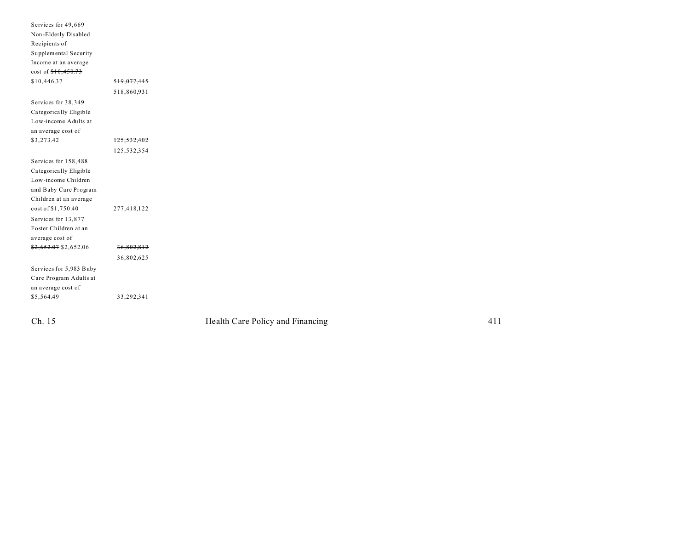| Services for 49,669<br>Non-Elderly Disabled<br>Recipients of<br>Supplemental Security<br>Income at an average<br>cost of $$10,450.73$<br>\$10,446.37 | <del>519,077,445</del><br>518,860,931 |                                  |     |
|------------------------------------------------------------------------------------------------------------------------------------------------------|---------------------------------------|----------------------------------|-----|
| Services for 38,349<br>Categorically Eligible                                                                                                        |                                       |                                  |     |
| Low-income Adults at                                                                                                                                 |                                       |                                  |     |
| an average cost of                                                                                                                                   |                                       |                                  |     |
| \$3,273.42                                                                                                                                           | <del>125,532,402</del>                |                                  |     |
|                                                                                                                                                      | 125,532,354                           |                                  |     |
| Services for 158,488<br>Categorically Eligible<br>Low-income Children<br>and Baby Care Program<br>Children at an average                             |                                       |                                  |     |
| cost of \$1,750.40<br>Services for 13,877<br>Foster Children at an<br>average cost of                                                                | 277,418,122                           |                                  |     |
| $$2,652.07$ \$2,652.06                                                                                                                               | 36,802,812                            |                                  |     |
|                                                                                                                                                      | 36,802,625                            |                                  |     |
| Services for 5,983 Baby                                                                                                                              |                                       |                                  |     |
| Care Program Adults at<br>an average cost of                                                                                                         |                                       |                                  |     |
| \$5,564.49                                                                                                                                           | 33,292,341                            |                                  |     |
| Ch. 15                                                                                                                                               |                                       | Health Care Policy and Financing | 411 |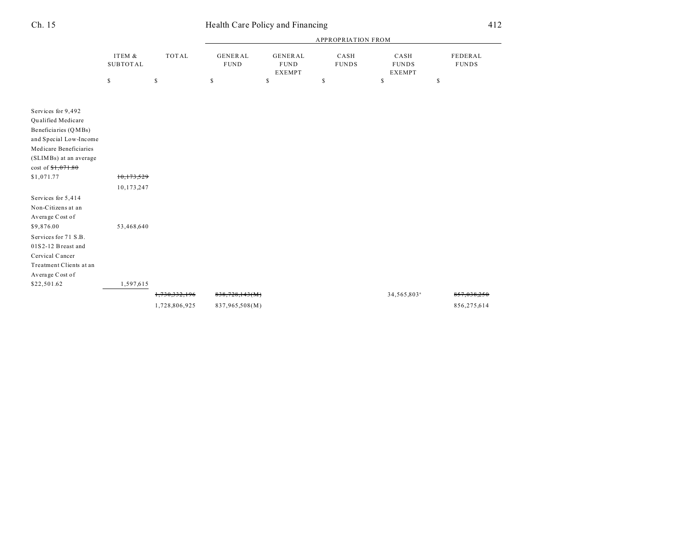|                                                                                                                                                                                                           |                           |                                | <b>APPROPRIATION FROM</b>        |                                         |                      |                                       |                         |
|-----------------------------------------------------------------------------------------------------------------------------------------------------------------------------------------------------------|---------------------------|--------------------------------|----------------------------------|-----------------------------------------|----------------------|---------------------------------------|-------------------------|
|                                                                                                                                                                                                           | ITEM &<br><b>SUBTOTAL</b> | <b>TOTAL</b>                   | <b>GENERAL</b><br><b>FUND</b>    | GENERAL<br><b>FUND</b><br><b>EXEMPT</b> | CASH<br><b>FUNDS</b> | CASH<br><b>FUNDS</b><br><b>EXEMPT</b> | FEDERAL<br><b>FUNDS</b> |
|                                                                                                                                                                                                           | $\mathbb{S}$              | $\mathbb S$                    | \$                               | $\mathbb{S}$                            | \$                   | \$                                    | \$                      |
| Services for 9,492<br>Qualified Medicare<br>Beneficiaries (QMBs)<br>and Special Low-Income<br>Medicare Beneficiaries<br>(SLIMBs) at an average<br>$cost of $1,071.80$<br>\$1,071.77                       | 10,173,529<br>10,173,247  |                                |                                  |                                         |                      |                                       |                         |
| Services for 5,414<br>Non-Citizens at an<br>Average Cost of<br>\$9,876.00<br>Services for 71 S.B.<br>$01S2-12$ Breast and<br>Cervical Cancer<br>Treatment Clients at an<br>Average Cost of<br>\$22,501.62 | 53,468,640<br>1,597,615   |                                |                                  |                                         |                      |                                       |                         |
|                                                                                                                                                                                                           |                           | 1,730,332,196<br>1,728,806,925 | 838,728,143(M)<br>837,965,508(M) |                                         |                      | 34,565,803 <sup>ª</sup>               | 856,275,614             |

## Ch. 15 Health Care Policy and Financing 412